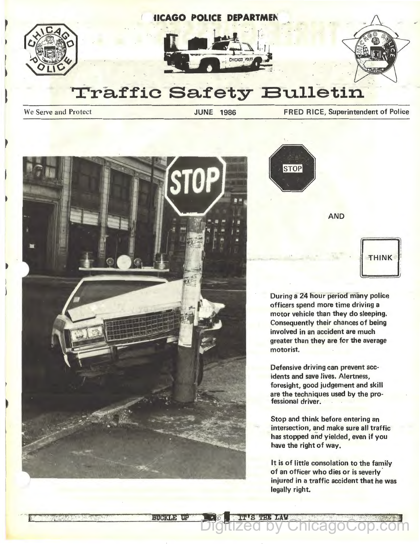







## $\overline{\text{Traffic Safety}}$  Bulletin

We Serve and Protect **Superintendent of Police** JUNE 1986 **FRED RICE, Superintendent of Police** 



висков пе

**STOP** 

AND

## THINK

During a 24 hour period many police officers spend more time driving a motor vehicle than they do sleeping. Consequently their chances of being involved in an accident are much greater than they are for the average motorist.

Defensive driving can prevent accidents and save lives. Alertness, foresight, good judgement and skill are the techhiques used by the professional driver.

Stop and think before entering an intersection, and make sure all traffic has stopped and yielded, even if you have the right of way.

It is of little consolation to the family of an officer who dies or is severly injured in a traffic accident that he was legally right.

**146 - The Tay ChicagoCop.com**